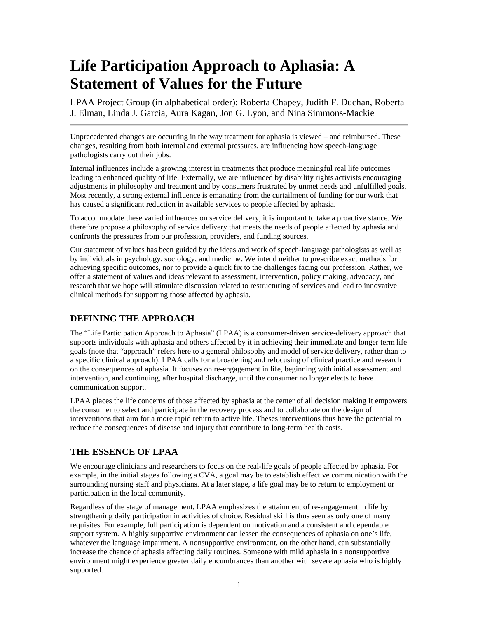# **Life Participation Approach to Aphasia: A Statement of Values for the Future**

LPAA Project Group (in alphabetical order): Roberta Chapey, Judith F. Duchan, Roberta J. Elman, Linda J. Garcia, Aura Kagan, Jon G. Lyon, and Nina Simmons-Mackie

Unprecedented changes are occurring in the way treatment for aphasia is viewed – and reimbursed. These changes, resulting from both internal and external pressures, are influencing how speech-language pathologists carry out their jobs.

Internal influences include a growing interest in treatments that produce meaningful real life outcomes leading to enhanced quality of life. Externally, we are influenced by disability rights activists encouraging adjustments in philosophy and treatment and by consumers frustrated by unmet needs and unfulfilled goals. Most recently, a strong external influence is emanating from the curtailment of funding for our work that has caused a significant reduction in available services to people affected by aphasia.

To accommodate these varied influences on service delivery, it is important to take a proactive stance. We therefore propose a philosophy of service delivery that meets the needs of people affected by aphasia and confronts the pressures from our profession, providers, and funding sources.

Our statement of values has been guided by the ideas and work of speech-language pathologists as well as by individuals in psychology, sociology, and medicine. We intend neither to prescribe exact methods for achieving specific outcomes, nor to provide a quick fix to the challenges facing our profession. Rather, we offer a statement of values and ideas relevant to assessment, intervention, policy making, advocacy, and research that we hope will stimulate discussion related to restructuring of services and lead to innovative clinical methods for supporting those affected by aphasia.

# **DEFINING THE APPROACH**

The "Life Participation Approach to Aphasia" (LPAA) is a consumer-driven service-delivery approach that supports individuals with aphasia and others affected by it in achieving their immediate and longer term life goals (note that "approach" refers here to a general philosophy and model of service delivery, rather than to a specific clinical approach). LPAA calls for a broadening and refocusing of clinical practice and research on the consequences of aphasia. It focuses on re-engagement in life, beginning with initial assessment and intervention, and continuing, after hospital discharge, until the consumer no longer elects to have communication support.

LPAA places the life concerns of those affected by aphasia at the center of all decision making It empowers the consumer to select and participate in the recovery process and to collaborate on the design of interventions that aim for a more rapid return to active life. Theses interventions thus have the potential to reduce the consequences of disease and injury that contribute to long-term health costs.

# **THE ESSENCE OF LPAA**

We encourage clinicians and researchers to focus on the real-life goals of people affected by aphasia. For example, in the initial stages following a CVA, a goal may be to establish effective communication with the surrounding nursing staff and physicians. At a later stage, a life goal may be to return to employment or participation in the local community.

Regardless of the stage of management, LPAA emphasizes the attainment of re-engagement in life by strengthening daily participation in activities of choice. Residual skill is thus seen as only one of many requisites. For example, full participation is dependent on motivation and a consistent and dependable support system. A highly supportive environment can lessen the consequences of aphasia on one's life, whatever the language impairment. A nonsupportive environment, on the other hand, can substantially increase the chance of aphasia affecting daily routines. Someone with mild aphasia in a nonsupportive environment might experience greater daily encumbrances than another with severe aphasia who is highly supported.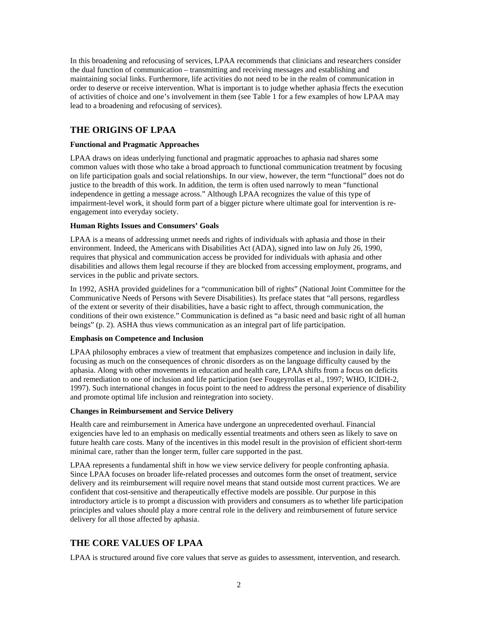In this broadening and refocusing of services, LPAA recommends that clinicians and researchers consider the dual function of communication – transmitting and receiving messages and establishing and maintaining social links. Furthermore, life activities do not need to be in the realm of communication in order to deserve or receive intervention. What is important is to judge whether aphasia ffects the execution of activities of choice and one's involvement in them (see Table 1 for a few examples of how LPAA may lead to a broadening and refocusing of services).

### **THE ORIGINS OF LPAA**

#### **Functional and Pragmatic Approaches**

LPAA draws on ideas underlying functional and pragmatic approaches to aphasia nad shares some common values with those who take a broad approach to functional communication treatment by focusing on life participation goals and social relationships. In our view, however, the term "functional" does not do justice to the breadth of this work. In addition, the term is often used narrowly to mean "functional independence in getting a message across." Although LPAA recognizes the value of this type of impairment-level work, it should form part of a bigger picture where ultimate goal for intervention is reengagement into everyday society.

#### **Human Rights Issues and Consumers' Goals**

LPAA is a means of addressing unmet needs and rights of individuals with aphasia and those in their environment. Indeed, the Americans with Disabilities Act (ADA), signed into law on July 26, 1990, requires that physical and communication access be provided for individuals with aphasia and other disabilities and allows them legal recourse if they are blocked from accessing employment, programs, and services in the public and private sectors.

In 1992, ASHA provided guidelines for a "communication bill of rights" (National Joint Committee for the Communicative Needs of Persons with Severe Disabilities). Its preface states that "all persons, regardless of the extent or severity of their disabilities, have a basic right to affect, through communication, the conditions of their own existence." Communication is defined as "a basic need and basic right of all human beings" (p. 2). ASHA thus views communication as an integral part of life participation.

#### **Emphasis on Competence and Inclusion**

LPAA philosophy embraces a view of treatment that emphasizes competence and inclusion in daily life, focusing as much on the consequences of chronic disorders as on the language difficulty caused by the aphasia. Along with other movements in education and health care, LPAA shifts from a focus on deficits and remediation to one of inclusion and life participation (see Fougeyrollas et al., 1997; WHO, ICIDH-2, 1997). Such international changes in focus point to the need to address the personal experience of disability and promote optimal life inclusion and reintegration into society.

#### **Changes in Reimbursement and Service Delivery**

Health care and reimbursement in America have undergone an unprecedented overhaul. Financial exigencies have led to an emphasis on medically essential treatments and others seen as likely to save on future health care costs. Many of the incentives in this model result in the provision of efficient short-term minimal care, rather than the longer term, fuller care supported in the past.

LPAA represents a fundamental shift in how we view service delivery for people confronting aphasia. Since LPAA focuses on broader life-related processes and outcomes form the onset of treatment, service delivery and its reimbursement will require novel means that stand outside most current practices. We are confident that cost-sensitive and therapeutically effective models are possible. Our purpose in this introductory article is to prompt a discussion with providers and consumers as to whether life participation principles and values should play a more central role in the delivery and reimbursement of future service delivery for all those affected by aphasia.

# **THE CORE VALUES OF LPAA**

LPAA is structured around five core values that serve as guides to assessment, intervention, and research.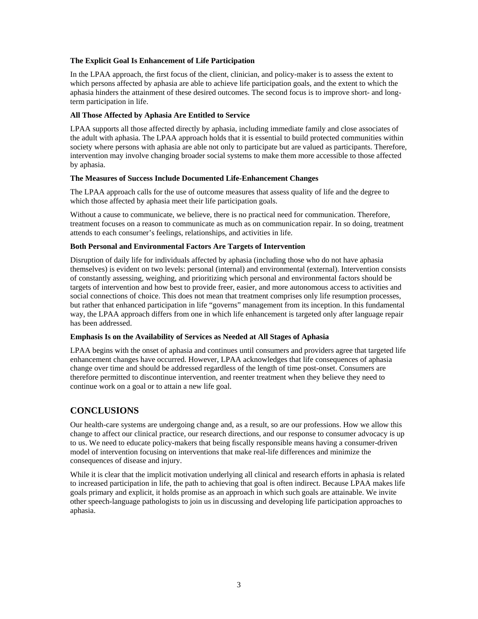#### **The Explicit Goal Is Enhancement of Life Participation**

In the LPAA approach, the first focus of the client, clinician, and policy-maker is to assess the extent to which persons affected by aphasia are able to achieve life participation goals, and the extent to which the aphasia hinders the attainment of these desired outcomes. The second focus is to improve short- and longterm participation in life.

#### **All Those Affected by Aphasia Are Entitled to Service**

LPAA supports all those affected directly by aphasia, including immediate family and close associates of the adult with aphasia. The LPAA approach holds that it is essential to build protected communities within society where persons with aphasia are able not only to participate but are valued as participants. Therefore, intervention may involve changing broader social systems to make them more accessible to those affected by aphasia.

#### **The Measures of Success Include Documented Life-Enhancement Changes**

The LPAA approach calls for the use of outcome measures that assess quality of life and the degree to which those affected by aphasia meet their life participation goals.

Without a cause to communicate, we believe, there is no practical need for communication. Therefore, treatment focuses on a reason to communicate as much as on communication repair. In so doing, treatment attends to each consumer's feelings, relationships, and activities in life.

#### **Both Personal and Environmental Factors Are Targets of Intervention**

Disruption of daily life for individuals affected by aphasia (including those who do not have aphasia themselves) is evident on two levels: personal (internal) and environmental (external). Intervention consists of constantly assessing, weighing, and prioritizing which personal and environmental factors should be targets of intervention and how best to provide freer, easier, and more autonomous access to activities and social connections of choice. This does not mean that treatment comprises only life resumption processes, but rather that enhanced participation in life "governs" management from its inception. In this fundamental way, the LPAA approach differs from one in which life enhancement is targeted only after language repair has been addressed.

#### **Emphasis Is on the Availability of Services as Needed at All Stages of Aphasia**

LPAA begins with the onset of aphasia and continues until consumers and providers agree that targeted life enhancement changes have occurred. However, LPAA acknowledges that life consequences of aphasia change over time and should be addressed regardless of the length of time post-onset. Consumers are therefore permitted to discontinue intervention, and reenter treatment when they believe they need to continue work on a goal or to attain a new life goal.

# **CONCLUSIONS**

Our health-care systems are undergoing change and, as a result, so are our professions. How we allow this change to affect our clinical practice, our research directions, and our response to consumer advocacy is up to us. We need to educate policy-makers that being fiscally responsible means having a consumer-driven model of intervention focusing on interventions that make real-life differences and minimize the consequences of disease and injury.

While it is clear that the implicit motivation underlying all clinical and research efforts in aphasia is related to increased participation in life, the path to achieving that goal is often indirect. Because LPAA makes life goals primary and explicit, it holds promise as an approach in which such goals are attainable. We invite other speech-language pathologists to join us in discussing and developing life participation approaches to aphasia.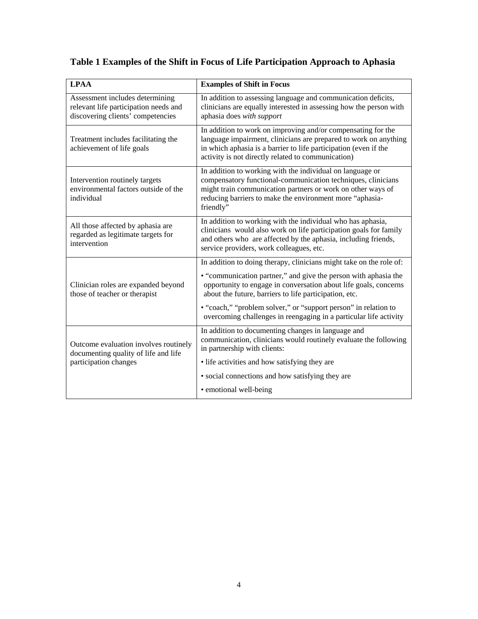# **Table 1 Examples of the Shift in Focus of Life Participation Approach to Aphasia**

| <b>LPAA</b>                                                                                                   | <b>Examples of Shift in Focus</b>                                                                                                                                                                                                                                                                                                                                                                            |
|---------------------------------------------------------------------------------------------------------------|--------------------------------------------------------------------------------------------------------------------------------------------------------------------------------------------------------------------------------------------------------------------------------------------------------------------------------------------------------------------------------------------------------------|
| Assessment includes determining<br>relevant life participation needs and<br>discovering clients' competencies | In addition to assessing language and communication deficits,<br>clinicians are equally interested in assessing how the person with<br>aphasia does with support                                                                                                                                                                                                                                             |
| Treatment includes facilitating the<br>achievement of life goals                                              | In addition to work on improving and/or compensating for the<br>language impairment, clinicians are prepared to work on anything<br>in which aphasia is a barrier to life participation (even if the<br>activity is not directly related to communication)                                                                                                                                                   |
| Intervention routinely targets<br>environmental factors outside of the<br>individual                          | In addition to working with the individual on language or<br>compensatory functional-communication techniques, clinicians<br>might train communication partners or work on other ways of<br>reducing barriers to make the environment more "aphasia-<br>friendly"                                                                                                                                            |
| All those affected by aphasia are<br>regarded as legitimate targets for<br>intervention                       | In addition to working with the individual who has aphasia,<br>clinicians would also work on life participation goals for family<br>and others who are affected by the aphasia, including friends,<br>service providers, work colleagues, etc.                                                                                                                                                               |
| Clinician roles are expanded beyond<br>those of teacher or therapist                                          | In addition to doing therapy, clinicians might take on the role of:<br>• "communication partner," and give the person with aphasia the<br>opportunity to engage in conversation about life goals, concerns<br>about the future, barriers to life participation, etc.<br>• "coach," "problem solver," or "support person" in relation to<br>overcoming challenges in reengaging in a particular life activity |
| Outcome evaluation involves routinely<br>documenting quality of life and life<br>participation changes        | In addition to documenting changes in language and<br>communication, clinicians would routinely evaluate the following<br>in partnership with clients:<br>• life activities and how satisfying they are<br>• social connections and how satisfying they are                                                                                                                                                  |
|                                                                                                               | • emotional well-being                                                                                                                                                                                                                                                                                                                                                                                       |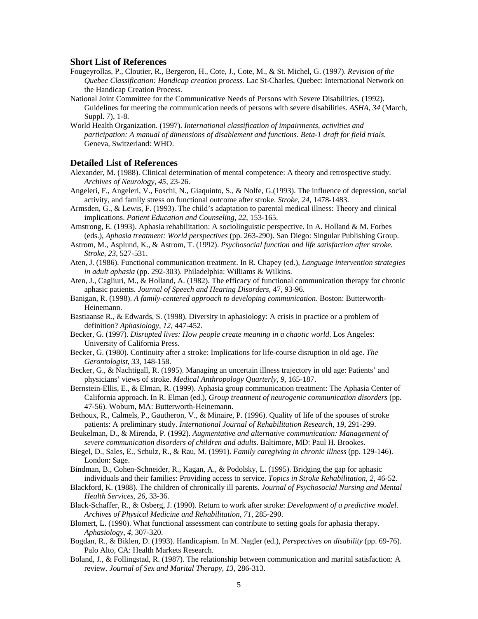#### **Short List of References**

- Fougeyrollas, P., Cloutier, R., Bergeron, H., Cote, J., Cote, M., & St. Michel, G. (1997). *Revision of the Quebec Classification: Handicap creation process.* Lac St-Charles, Quebec: International Network on the Handicap Creation Process.
- National Joint Committee for the Communicative Needs of Persons with Severe Disabilities. (1992). Guidelines for meeting the communication needs of persons with severe disabilities. *ASHA, 34* (March, Suppl. 7), 1-8.
- World Health Organization. (1997). *International classification of impairments, activities and participation: A manual of dimensions of disablement and functions*. *Beta-1 draft for field trials*. Geneva, Switzerland: WHO.

#### **Detailed List of References**

- Alexander, M. (1988). Clinical determination of mental competence: A theory and retrospective study. *Archives of Neurology, 45*, 23-26.
- Angeleri, F., Angeleri, V., Foschi, N., Giaquinto, S., & Nolfe, G.(1993). The influence of depression, social activity, and family stress on functional outcome after stroke. *Stroke, 24*, 1478-1483.
- Armsden, G., & Lewis, F. (1993). The child's adaptation to parental medical illness: Theory and clinical implications. *Patient Education and Counseling, 22*, 153-165.
- Amstrong, E. (1993). Aphasia rehabilitation: A sociolinguistic perspective. In A. Holland & M. Forbes (eds.), *Aphasia treatment: World perspectives* (pp. 263-290). San Diego: Singular Publishing Group.
- Astrom, M., Asplund, K., & Astrom, T. (1992). *Psychosocial function and life satisfaction after stroke. Stroke, 23*, 527-531.
- Aten, J. (1986). Functional communication treatment. In R. Chapey (ed.), *Language intervention strategies in adult aphasia* (pp. 292-303). Philadelphia: Williams & Wilkins.
- Aten, J., Cagliuri, M., & Holland, A. (1982). The efficacy of functional communication therapy for chronic aphasic patients. *Journal of Speech and Hearing Disorders,* 47, 93-96.
- Banigan, R. (1998). *A family-centered approach to developing communication*. Boston: Butterworth-Heinemann.
- Bastiaanse R., & Edwards, S. (1998). Diversity in aphasiology: A crisis in practice or a problem of definition? *Aphasiology, 12*, 447-452.
- Becker, G. (1997). *Disrupted lives: How people create meaning in a chaotic world*. Los Angeles: University of California Press.
- Becker, G. (1980). Continuity after a stroke: Implications for life-course disruption in old age. *The Gerontologist, 33,* 148-158.
- Becker, G., & Nachtigall, R. (1995). Managing an uncertain illness trajectory in old age: Patients' and physicians' views of stroke. *Medical Anthropology Quarterly, 9*, 165-187.
- Bernstein-Ellis, E., & Elman, R. (1999). Aphasia group communication treatment: The Aphasia Center of California approach. In R. Elman (ed.), *Group treatment of neurogenic communication disorders* (pp. 47-56). Woburn, MA: Butterworth-Heinemann.
- Bethoux, R., Calmels, P., Gautheron, V., & Minaire, P. (1996). Quality of life of the spouses of stroke patients: A preliminary study. *International Journal of Rehabilitation Research, 19*, 291-299.
- Beukelman, D., & Mirenda, P. (1992). *Augmentative and alternative communication: Management of severe communication disorders of children and adults*. Baltimore, MD: Paul H. Brookes.
- Biegel, D., Sales, E., Schulz, R., & Rau, M. (1991). *Family caregiving in chronic illness* (pp. 129-146). London: Sage.
- Bindman, B., Cohen-Schneider, R., Kagan, A., & Podolsky, L. (1995). Bridging the gap for aphasic individuals and their families: Providing access to service. *Topics in Stroke Rehabilitation, 2*, 46-52.
- Blackford, K. (1988). The children of chronically ill parents*. Journal of Psychosocial Nursing and Mental Health Services, 26*, 33-36.
- Black-Schaffer, R., & Osberg, J. (1990). Return to work after stroke: *Development of a predictive model. Archives of Physical Medicine and Rehabilitation, 71*, 285-290.

Blomert, L. (1990). What functional assessment can contribute to setting goals for aphasia therapy. *Aphasiology, 4*, 307-320.

- Bogdan, R., & Biklen, D. (1993). Handicapism. In M. Nagler (ed.), *Perspectives on disability* (pp. 69-76). Palo Alto, CA: Health Markets Research.
- Boland, J., & Follingstad, R. (1987). The relationship between communication and marital satisfaction: A review. *Journal of Sex and Marital Therapy, 13*, 286-313.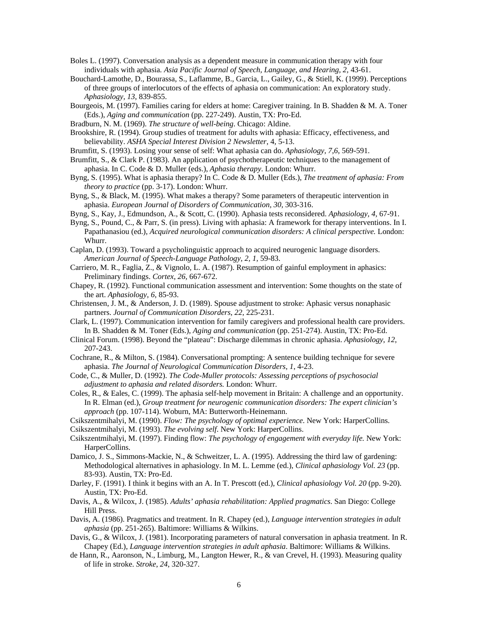- Boles L. (1997). Conversation analysis as a dependent measure in communication therapy with four individuals with aphasia. Asia Pacific Journal of Speech, Language, and Hearing, 2, 43-61.
- Bouchard-Lamothe, D., Bourassa, S., Laflamme, B., Garcia, L., Gailey, G., & Stiell, K. (1999). Perceptions of three groups of interlocutors of the effects of aphasia on communication: An exploratory study. *Aphasiology, 13*, 839-855.
- Bourgeois, M. (1997). Families caring for elders at home: Caregiver training. In B. Shadden & M. A. Toner (Eds.), *Aging and communication* (pp. 227-249). Austin, TX: Pro-Ed.
- Bradburn, N. M. (1969). *The structure of well-being*. Chicago: Aldine.
- Brookshire, R. (1994). Group studies of treatment for adults with aphasia: Efficacy, effectiveness, and believability. *ASHA Special Interest Division 2 Newsletter*, 4, 5-13.
- Brumfitt, S. (1993). Losing your sense of self: What aphasia can do. *Aphasiology, 7,6*, 569-591.
- Brumfitt, S., & Clark P. (1983). An application of psychotherapeutic techniques to the management of aphasia. In C. Code & D. Muller (eds.), *Aphasia therapy*. London: Whurr.
- Byng, S. (1995). What is aphasia therapy? In C. Code & D. Muller (Eds.), *The treatment of aphasia: From theory to practice* (pp. 3-17). London: Whurr.
- Byng, S., & Black, M. (1995). What makes a therapy? Some parameters of therapeutic intervention in aphasia. *European Journal of Disorders of Communication, 30*, 303-316.
- Byng, S., Kay, J., Edmundson, A., & Scott, C. (1990). Aphasia tests reconsidered. *Aphasiology, 4,* 67-91.
- Byng, S., Pound, C., & Parr, S. (in press). Living with aphasia: A framework for therapy interventions. In I. Papathanasiou (ed.), *Acquired neurological communication disorders: A clinical perspective.* London: Whurr.
- Caplan, D. (1993). Toward a psycholinguistic approach to acquired neurogenic language disorders. *American Journal of Speech-Language Pathology, 2, 1,* 59-83.
- Carriero, M. R., Faglia, Z., & Vignolo, L. A. (1987). Resumption of gainful employment in aphasics: Preliminary findings. *Cortex, 26,* 667-672.
- Chapey, R. (1992). Functional communication assessment and intervention: Some thoughts on the state of the art. *Aphasiology*, *6*, 85-93.
- Christensen, J. M., & Anderson, J. D. (1989). Spouse adjustment to stroke: Aphasic versus nonaphasic partners. *Journal of Communication Disorders*, *22*, 225-231.
- Clark, L. (1997). Communication intervention for family caregivers and professional health care providers. In B. Shadden & M. Toner (Eds.), *Aging and communication* (pp. 251-274). Austin, TX: Pro-Ed.
- Clinical Forum. (1998). Beyond the "plateau": Discharge dilemmas in chronic aphasia. *Aphasiology*, *12*, 207-243.
- Cochrane, R., & Milton, S. (1984). Conversational prompting: A sentence building technique for severe aphasia. *The Journal of Neurological Communication Disorders*, *1*, 4-23.
- Code, C., & Muller, D. (1992). *The Code-Muller protocols: Assessing perceptions of psychosocial adjustment to aphasia and related disorders.* London: Whurr.
- Coles, R., & Eales, C. (1999). The aphasia self-help movement in Britain: A challenge and an opportunity. In R. Elman (ed.), *Group treatment for neurogenic communication disorders: The expert clinician's approach* (pp. 107-114). Woburn, MA: Butterworth-Heinemann.
- Csikszentmihalyi, M. (1990). *Flow: The psychology of optimal experience*. New York: HarperCollins.
- Csikszentmihalyi, M. (1993). *The evolving self*. New York: HarperCollins.
- Csikszentmihalyi, M. (1997). Finding flow: *The psychology of engagement with everyday life.* New York: HarperCollins.
- Damico, J. S., Simmons-Mackie, N., & Schweitzer, L. A. (1995). Addressing the third law of gardening: Methodological alternatives in aphasiology. In M. L. Lemme (ed.), *Clinical aphasiology Vol. 23* (pp. 83-93). Austin, TX: Pro-Ed.
- Darley, F. (1991). I think it begins with an A. In T. Prescott (ed.), *Clinical aphasiology Vol. 20* (pp. 9-20). Austin, TX: Pro-Ed.
- Davis, A., & Wilcox, J. (1985). *Adults' aphasia rehabilitation: Applied pragmatics*. San Diego: College Hill Press.
- Davis, A. (1986). Pragmatics and treatment. In R. Chapey (ed.), *Language intervention strategies in adult aphasia* (pp. 251-265). Baltimore: Williams & Wilkins.
- Davis, G., & Wilcox, J. (1981). Incorporating parameters of natural conversation in aphasia treatment. In R. Chapey (Ed.), *Language intervention strategies in adult aphasia*. Baltimore: Williams & Wilkins.
- de Hann, R., Aaronson, N., Limburg, M., Langton Hewer, R., & van Crevel, H. (1993). Measuring quality of life in stroke. *Stroke*, *24*, 320-327.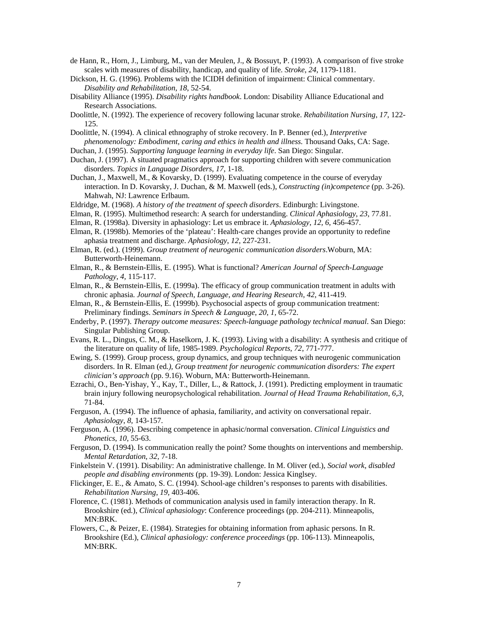- de Hann, R., Horn, J., Limburg, M., van der Meulen, J., & Bossuyt, P. (1993). A comparison of five stroke scales with measures of disability, handicap, and quality of life. *Stroke*, *24*, 1179-1181.
- Dickson, H. G. (1996). Problems with the ICIDH definition of impairment: Clinical commentary. *Disability and Rehabilitation*, *18*, 52-54.
- Disability Alliance (1995). *Disability rights handbook*. London: Disability Alliance Educational and Research Associations.
- Doolittle, N. (1992). The experience of recovery following lacunar stroke. *Rehabilitation Nursing*, *17*, 122- 125.
- Doolittle, N. (1994). A clinical ethnography of stroke recovery. In P. Benner (ed.), *Interpretive phenomenology: Embodiment, caring and ethics in health and illness.* Thousand Oaks, CA: Sage.
- Duchan, J. (1995). *Supporting language learning in everyday life*. San Diego: Singular.
- Duchan, J. (1997). A situated pragmatics approach for supporting children with severe communication disorders. *Topics in Language Disorders*, *17*, 1-18.
- Duchan, J., Maxwell, M., & Kovarsky, D. (1999). Evaluating competence in the course of everyday interaction. In D. Kovarsky, J. Duchan, & M. Maxwell (eds.), *Constructing (in)competence* (pp. 3-26). Mahwah, NJ: Lawrence Erlbaum.
- Eldridge, M. (1968). *A history of the treatment of speech disorders*. Edinburgh: Livingstone.
- Elman, R. (1995). Multimethod research: A search for understanding. *Clinical Aphasiology*, *23*, 77.81.
- Elman, R. (1998a). Diversity in aphasiology: Let us embrace it. *Aphasiology*, *12*, *6*, 456-457.
- Elman, R. (1998b). Memories of the 'plateau': Health-care changes provide an opportunity to redefine aphasia treatment and discharge. *Aphasiology*, *12*, 227-231.
- Elman, R. (ed.). (1999). *Group treatment of neurogenic communication disorders*.Woburn, MA: Butterworth-Heinemann.
- Elman, R., & Bernstein-Ellis, E. (1995). What is functional? *American Journal of Speech-Language Pathology*, *4,* 115-117.
- Elman, R., & Bernstein-Ellis, E. (1999a). The efficacy of group communication treatment in adults with chronic aphasia. *Journal of Speech, Language, and Hearing Research*, *42*, 411-419.
- Elman, R., & Bernstein-Ellis, E. (1999b). Psychosocial aspects of group communication treatment: Preliminary findings. *Seminars in Speech & Language*, *20*, *1,* 65-72.
- Enderby, P. (1997). *Therapy outcome measures: Speech-language pathology technical manual*. San Diego: Singular Publishing Group.
- Evans, R. L., Dingus, C. M., & Haselkorn, J. K. (1993). Living with a disability: A synthesis and critique of the literature on quality of life, 1985-1989. *Psychological Reports*, *72*, 771-777.
- Ewing, S. (1999). Group process, group dynamics, and group techniques with neurogenic communication disorders. In R. Elman (ed*.), Group treatment for neurogenic communication disorders: The expert clinician's approach* (pp. 9.16). Woburn, MA: Butterworth-Heinemann.
- Ezrachi, O., Ben-Yishay, Y., Kay, T., Diller, L., & Rattock, J. (1991). Predicting employment in traumatic brain injury following neuropsychological rehabilitation. *Journal of Head Trauma Rehabilitation*, *6,3*, 71-84.
- Ferguson, A. (1994). The influence of aphasia, familiarity, and activity on conversational repair. *Aphasiology*, *8,* 143-157.
- Ferguson, A. (1996). Describing competence in aphasic/normal conversation. *Clinical Linguistics and Phonetics*, *10*, 55-63.
- Ferguson, D. (1994). Is communication really the point? Some thoughts on interventions and membership. *Mental Retardation*, *32*, 7-18.
- Finkelstein V. (1991). Disability: An administrative challenge. In M. Oliver (ed.), *Social work, disabled people and disabling environments* (pp. 19-39). London: Jessica Kinglsey.
- Flickinger, E. E., & Amato, S. C. (1994). School-age children's responses to parents with disabilities. *Rehabilitation Nursing*, *19*, 403-406.
- Florence, C. (1981). Methods of communication analysis used in family interaction therapy. In R. Brookshire (ed.), *Clinical aphasiology*: Conference proceedings (pp. 204-211). Minneapolis, MN:BRK.
- Flowers, C., & Peizer, E. (1984). Strategies for obtaining information from aphasic persons. In R. Brookshire (Ed.), *Clinical aphasiology: conference proceedings* (pp. 106-113). Minneapolis, MN:BRK.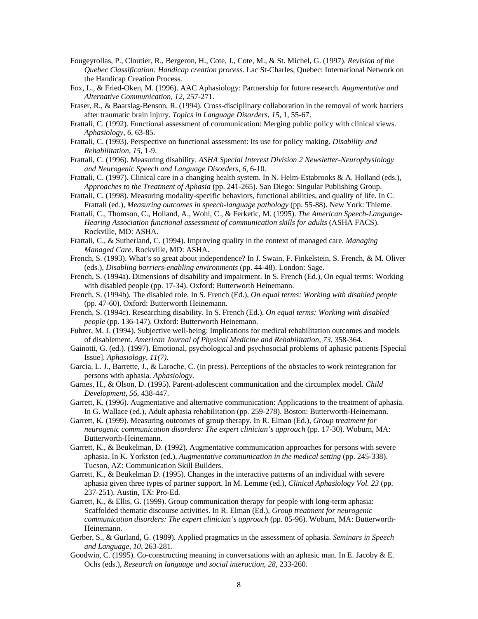- Fougeyrollas, P., Cloutier, R., Bergeron, H., Cote, J., Cote, M., & St. Michel, G. (1997). *Revision of the Quebec Classification: Handicap creation process*. Lac St-Charles, Quebec: International Network on the Handicap Creation Process.
- Fox, L., & Fried-Oken, M. (1996). AAC Aphasiology: Partnership for future research. *Augmentative and Alternative Communication*, *12*, 257-271.
- Fraser, R., & Baarslag-Benson, R. (1994). Cross-disciplinary collaboration in the removal of work barriers after traumatic brain injury. *Topics in Language Disorders*, *15*, 1, 55-67.
- Frattali, C. (1992). Functional assessment of communication: Merging public policy with clinical views. *Aphasiology*, *6*, 63-85.
- Frattali, C. (1993). Perspective on functional assessment: Its use for policy making. *Disability and Rehabilitation*, *15*, 1-9.
- Frattali, C. (1996). Measuring disability. *ASHA Special Interest Division 2 Newsletter-Neurophysiology and Neurogenic Speech and Language Disorders*, *6*, 6-10.
- Frattali, C. (1997). Clinical care in a changing health system. In N. Helm-Estabrooks & A. Holland (eds.), *Approaches to the Treatment of Aphasia* (pp. 241-265). San Diego: Singular Publishing Group.
- Frattali, C. (1998). Measuring modality-specific behaviors, functional abilities, and quality of life. In C. Frattali (ed.), *Measuring outcomes in speech-language pathology* (pp. 55-88). New York: Thieme.
- Frattali, C., Thomson, C., Holland, A., Wohl, C., & Ferketic, M. (1995). *The American Speech-Language-Hearing Association functional assessment of communication skills for adults* (ASHA FACS). Rockville, MD: ASHA.
- Frattali, C., & Sutherland, C. (1994). Improving quality in the context of managed care. *Managing Managed Care*. Rockville, MD: ASHA.
- French, S. (1993). What's so great about independence? In J. Swain, F. Finkelstein, S. French, & M. Oliver (eds.), *Disabling barriers-enabling environments* (pp. 44-48). London: Sage.
- French, S. (1994a). Dimensions of disability and impairment. In S. French (Ed.), On equal terms: Working with disabled people (pp. 17-34). Oxford: Butterworth Heinemann.
- French, S. (1994b). The disabled role. In S. French (Ed.), *On equal terms: Working with disabled people* (pp. 47-60). Oxford: Butterworth Heinemann.
- French, S. (1994c). Researching disability. In S. French (Ed.), *On equal terms: Working with disabled people* (pp. 136-147). Oxford: Butterworth Heinemann.
- Fuhrer, M. J. (1994). Subjective well-being: Implications for medical rehabilitation outcomes and models of disablement. *American Journal of Physical Medicine and Rehabilitation*, *73*, 358-364.
- Gainotti, G. (ed.). (1997). Emotional, psychological and psychosocial problems of aphasic patients [Special Issue]. *Aphasiology*, *11(7).*
- Garcia, L. J., Barrette, J., & Laroche, C. (in press). Perceptions of the obstacles to work reintegration for persons with aphasia. *Aphasiology*.
- Garnes, H., & Olson, D. (1995). Parent-adolescent communication and the circumplex model. *Child Development*, *56*, 438-447.
- Garrett, K. (1996). Augmentative and alternative communication: Applications to the treatment of aphasia. In G. Wallace (ed.), Adult aphasia rehabilitation (pp. 259-278). Boston: Butterworth-Heinemann.
- Garrett, K. (1999). Measuring outcomes of group therapy. In R. Elman (Ed.), *Group treatment for neurogenic communication disorders: The expert clinician's approach* (pp. 17-30). Woburn, MA: Butterworth-Heinemann.
- Garrett, K., & Beukelman, D. (1992). Augmentative communication approaches for persons with severe aphasia. In K. Yorkston (ed.), *Augmentative communication in the medical setting* (pp. 245-338). Tucson, AZ: Communication Skill Builders.
- Garrett, K., & Beukelman D. (1995). Changes in the interactive patterns of an individual with severe aphasia given three types of partner support. In M. Lemme (ed.), *Clinical Aphasiology Vol. 23* (pp. 237-251). Austin, TX: Pro-Ed.
- Garrett, K., & Ellis, G. (1999). Group communication therapy for people with long-term aphasia: Scaffolded thematic discourse activities. In R. Elman (Ed.), *Group treatment for neurogenic communication disorders: The expert clinician's approach* (pp. 85-96). Woburn, MA: Butterworth-Heinemann.
- Gerber, S., & Gurland, G. (1989). Applied pragmatics in the assessment of aphasia. *Seminars in Speech and Language*, *10*, 263-281.
- Goodwin, C. (1995). Co-constructing meaning in conversations with an aphasic man. In E. Jacoby & E. Ochs (eds.), *Research on language and social interaction*, *28*, 233-260.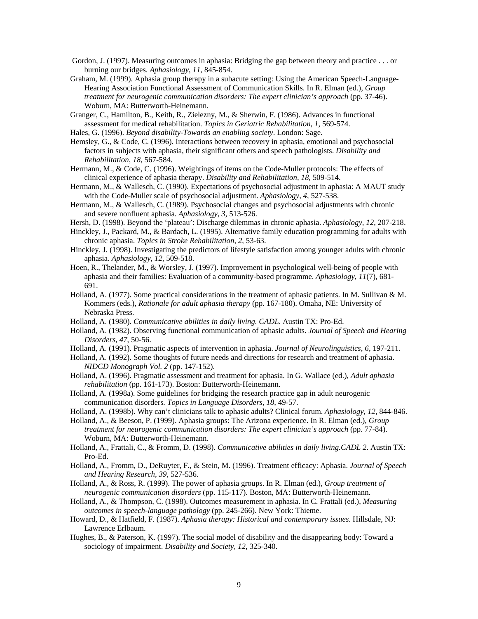- Gordon, J. (1997). Measuring outcomes in aphasia: Bridging the gap between theory and practice . . . or burning our bridges. *Aphasiology*, *11*, 845-854.
- Graham, M. (1999). Aphasia group therapy in a subacute setting: Using the American Speech-Language-Hearing Association Functional Assessment of Communication Skills. In R. Elman (ed.), *Group treatment for neurogenic communication disorders: The expert clinician's approach (pp. 37-46).* Woburn, MA: Butterworth-Heinemann.
- Granger, C., Hamilton, B., Keith, R., Zielezny, M., & Sherwin, F. (1986). Advances in functional assessment for medical rehabilitation. *Topics in Geriatric Rehabilitation*, *1*, 569-574.
- Hales, G. (1996). *Beyond disability-Towards an enabling society*. London: Sage.
- Hemsley, G., & Code, C. (1996). Interactions between recovery in aphasia, emotional and psychosocial factors in subjects with aphasia, their significant others and speech pathologists. *Disability and Rehabilitation, 18*, 567-584.
- Hermann, M., & Code, C. (1996). Weightings of items on the Code-Muller protocols: The effects of clinical experience of aphasia therapy. *Disability and Rehabilitation, 18*, 509-514.
- Hermann, M., & Wallesch, C. (1990). Expectations of psychosocial adjustment in aphasia: A MAUT study with the Code-Muller scale of psychosocial adjustment. *Aphasiology, 4*, 527-538.
- Hermann, M., & Wallesch, C. (1989). Psychosocial changes and psychosocial adjustments with chronic and severe nonfluent aphasia. *Aphasiology, 3*, 513-526.
- Hersh, D. (1998). Beyond the 'plateau': Discharge dilemmas in chronic aphasia. *Aphasiology, 12*, 207-218.
- Hinckley, J., Packard, M., & Bardach, L. (1995). Alternative family education programming for adults with chronic aphasia. *Topics in Stroke Rehabilitation*, *2*, 53-63.
- Hinckley, J. (1998). Investigating the predictors of lifestyle satisfaction among younger adults with chronic aphasia. *Aphasiology*, *12,* 509-518.
- Hoen, R., Thelander, M., & Worsley, J. (1997). Improvement in psychological well-being of people with aphasia and their families: Evaluation of a community-based programme. *Aphasiology*, *11*(7), 681- 691.
- Holland, A. (1977). Some practical considerations in the treatment of aphasic patients. In M. Sullivan & M. Kommers (eds.), *Rationale for adult aphasia therapy* (pp. 167-180). Omaha, NE: University of Nebraska Press.
- Holland, A. (1980). *Communicative abilities in daily living. CADL*. Austin TX: Pro-Ed.
- Holland, A. (1982). Observing functional communication of aphasic adults. *Journal of Speech and Hearing Disorders*, *47*, 50-56.
- Holland, A. (1991). Pragmatic aspects of intervention in aphasia. *Journal of Neurolinguistics, 6,* 197-211.
- Holland, A. (1992). Some thoughts of future needs and directions for research and treatment of aphasia. *NIDCD Monograph Vol. 2* (pp. 147-152).
- Holland, A. (1996). Pragmatic assessment and treatment for aphasia. In G. Wallace (ed.), *Adult aphasia rehabilitation* (pp. 161-173). Boston: Butterworth-Heinemann.
- Holland, A. (1998a). Some guidelines for bridging the research practice gap in adult neurogenic communication disorders*. Topics in Language Disorders, 18,* 49-57.
- Holland, A. (1998b). Why can't clinicians talk to aphasic adults? Clinical forum. *Aphasiology*, *12*, 844-846.
- Holland, A., & Beeson, P. (1999). Aphasia groups: The Arizona experience. In R. Elman (ed.), *Group treatment for neurogenic communication disorders: The expert clinician's approach* (pp. 77-84). Woburn, MA: Butterworth-Heinemann.
- Holland, A., Frattali, C., & Fromm, D. (1998). *Communicative abilities in daily living.CADL 2*. Austin TX: Pro-Ed.
- Holland, A., Fromm, D., DeRuyter, F., & Stein, M. (1996). Treatment efficacy: Aphasia. *Journal of Speech and Hearing Research, 39*, 527-536.
- Holland, A., & Ross, R. (1999). The power of aphasia groups. In R. Elman (ed.), *Group treatment of neurogenic communication disorders* (pp. 115-117). Boston, MA: Butterworth-Heinemann.
- Holland, A., & Thompson, C. (1998). Outcomes measurement in aphasia. In C. Frattali (ed.), *Measuring outcomes in speech-language pathology* (pp. 245-266). New York: Thieme.
- Howard, D., & Hatfield, F. (1987). *Aphasia therapy: Historical and contemporary issues*. Hillsdale, NJ: Lawrence Erlbaum.
- Hughes, B., & Paterson, K. (1997). The social model of disability and the disappearing body: Toward a sociology of impairment. *Disability and Society*, *12*, 325-340.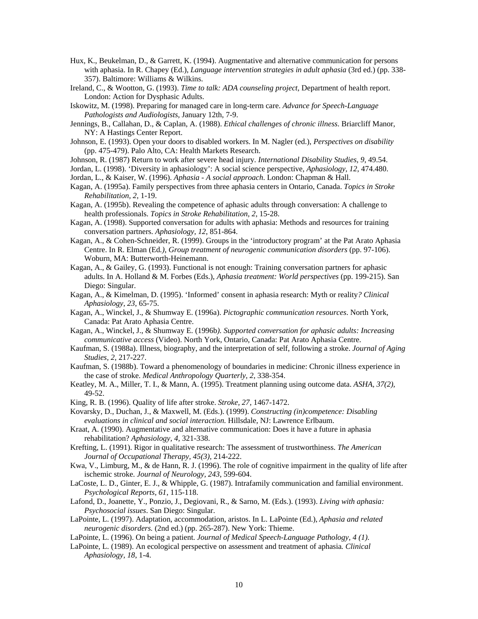- Hux, K., Beukelman, D., & Garrett, K. (1994). Augmentative and alternative communication for persons with aphasia. In R. Chapey (Ed.), *Language intervention strategies in adult aphasia* (3rd ed.) (pp. 338- 357). Baltimore: Williams & Wilkins.
- Ireland, C., & Wootton, G. (1993). *Time to talk: ADA counseling project*, Department of health report. London: Action for Dysphasic Adults.
- Iskowitz, M. (1998). Preparing for managed care in long-term care. *Advance for Speech-Language Pathologists and Audiologists,* January 12th, 7-9.
- Jennings, B., Callahan, D., & Caplan, A. (1988). *Ethical challenges of chronic illness*. Briarcliff Manor, NY: A Hastings Center Report.
- Johnson, E. (1993). Open your doors to disabled workers. In M. Nagler (ed.), *Perspectives on disability* (pp. 475-479). Palo Alto, CA: Health Markets Research.
- Johnson, R. (1987) Return to work after severe head injury. *International Disability Studies, 9*, 49.54.
- Jordan, L. (1998). 'Diversity in aphasiology': A social science perspective, *Aphasiology, 12*, 474.480.
- Jordan, L., & Kaiser, W. (1996). *Aphasia A social approach*. London: Chapman & Hall.
- Kagan, A. (1995a). Family perspectives from three aphasia centers in Ontario, Canada. *Topics in Stroke Rehabilitation, 2*, 1-19.
- Kagan, A. (1995b). Revealing the competence of aphasic adults through conversation: A challenge to health professionals. *Topics in Stroke Rehabilitation, 2*, 15-28.
- Kagan, A. (1998). Supported conversation for adults with aphasia: Methods and resources for training conversation partners. *Aphasiology, 12*, 851-864.
- Kagan, A., & Cohen-Schneider, R. (1999). Groups in the 'introductory program' at the Pat Arato Aphasia Centre. In R. Elman (Ed*.), Group treatment of neurogenic communication disorders* (pp. 97-106). Woburn, MA: Butterworth-Heinemann.
- Kagan, A., & Gailey, G. (1993). Functional is not enough: Training conversation partners for aphasic adults. In A. Holland & M. Forbes (Eds.), *Aphasia treatment: World perspectives* (pp. 199-215). San Diego: Singular.
- Kagan, A., & Kimelman, D. (1995). 'Informed' consent in aphasia research: Myth or reality*? Clinical Aphasiology, 23*, 65-75.
- Kagan, A., Winckel, J., & Shumway E. (1996a). *Pictographic communication resources*. North York, Canada: Pat Arato Aphasia Centre.
- Kagan, A., Winckel, J., & Shumway E. (1996b*). Supported conversation for aphasic adults: Increasing communicative access* (Video). North York, Ontario, Canada: Pat Arato Aphasia Centre.
- Kaufman, S. (1988a). Illness, biography, and the interpretation of self, following a stroke. *Journal of Aging Studies, 2*, 217-227.
- Kaufman, S. (1988b). Toward a phenomenology of boundaries in medicine: Chronic illness experience in the case of stroke. *Medical Anthropology Quarterly, 2*, 338-354.
- Keatley, M. A., Miller, T. I., & Mann, A. (1995). Treatment planning using outcome data. *ASHA, 37(2),* 49-52.
- King, R. B. (1996). Quality of life after stroke. *Stroke, 27*, 1467-1472.
- Kovarsky, D., Duchan, J., & Maxwell, M. (Eds.). (1999). *Constructing (in)competence: Disabling evaluations in clinical and social interaction.* Hillsdale, NJ: Lawrence Erlbaum.
- Kraat, A. (1990). Augmentative and alternative communication: Does it have a future in aphasia rehabilitation? *Aphasiology, 4,* 321-338.
- Krefting, L. (1991). Rigor in qualitative research: The assessment of trustworthiness. *The American Journal of Occupational Therapy, 45(3),* 214-222.
- Kwa, V., Limburg, M., & de Hann, R. J. (1996). The role of cognitive impairment in the quality of life after ischemic stroke. *Journal of Neurology, 243*, 599-604.
- LaCoste, L. D., Ginter, E. J., & Whipple, G. (1987). Intrafamily communication and familial environment. *Psychological Reports, 61*, 115-118.
- Lafond, D., Joanette, Y., Ponzio, J., Degiovani, R., & Sarno, M. (Eds.). (1993). *Living with aphasia: Psychosocial issues*. San Diego: Singular.
- LaPointe, L. (1997). Adaptation, accommodation, aristos. In L. LaPointe (Ed.), *Aphasia and related neurogenic disorders.* (2nd ed.) (pp. 265-287). New York: Thieme.
- LaPointe, L. (1996). On being a patient. *Journal of Medical Speech-Language Pathology, 4 (1)*.
- LaPointe, L. (1989). An ecological perspective on assessment and treatment of aphasia*. Clinical Aphasiology, 18*, 1-4.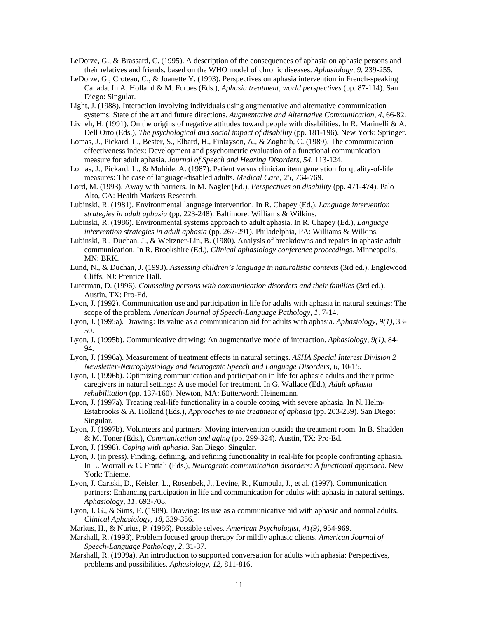- LeDorze, G., & Brassard, C. (1995). A description of the consequences of aphasia on aphasic persons and their relatives and friends, based on the WHO model of chronic diseases. *Aphasiology, 9*, 239-255.
- LeDorze, G., Croteau, C., & Joanette Y. (1993). Perspectives on aphasia intervention in French-speaking Canada. In A. Holland & M. Forbes (Eds.), *Aphasia treatment, world perspectives* (pp. 87-114). San Diego: Singular.
- Light, J. (1988). Interaction involving individuals using augmentative and alternative communication systems: State of the art and future directions. *Augmentative and Alternative Communication, 4*, 66-82.
- Livneh, H. (1991). On the origins of negative attitudes toward people with disabilities. In R. Marinelli & A. Dell Orto (Eds.), *The psychological and social impact of disability* (pp. 181-196). New York: Springer.
- Lomas, J., Pickard, L., Bester, S., Elbard, H., Finlayson, A., & Zoghaib, C. (1989). The communication effectiveness index: Development and psychometric evaluation of a functional communication measure for adult aphasia. *Journal of Speech and Hearing Disorders, 54*, 113-124.
- Lomas, J., Pickard, L., & Mohide, A. (1987). Patient versus clinician item generation for quality-of-life measures: The case of language-disabled adults*. Medical Care, 25*, 764-769.
- Lord, M. (1993). Away with barriers. In M. Nagler (Ed.), *Perspectives on disability* (pp. 471-474). Palo Alto, CA: Health Markets Research.
- Lubinski, R. (1981). Environmental language intervention. In R. Chapey (Ed.), *Language intervention strategies in adult aphasia* (pp. 223-248). Baltimore: Williams & Wilkins.
- Lubinski, R. (1986). Environmental systems approach to adult aphasia. In R. Chapey (Ed.), *Language intervention strategies in adult aphasia* (pp. 267-291). Philadelphia, PA: Williams & Wilkins.
- Lubinski, R., Duchan, J., & Weitzner-Lin, B. (1980). Analysis of breakdowns and repairs in aphasic adult communication. In R. Brookshire (Ed.), *Clinical aphasiology conference proceedings*. Minneapolis, MN: BRK.
- Lund, N., & Duchan, J. (1993). *Assessing children's language in naturalistic contexts* (3rd ed.). Englewood Cliffs, NJ: Prentice Hall.
- Luterman, D. (1996). *Counseling persons with communication disorders and their families* (3rd ed.). Austin, TX: Pro-Ed.
- Lyon, J. (1992). Communication use and participation in life for adults with aphasia in natural settings: The scope of the problem*. American Journal of Speech-Language Pathology, 1*, 7-14.
- Lyon, J. (1995a). Drawing: Its value as a communication aid for adults with aphasia. *Aphasiology, 9(1)*, 33- 50.
- Lyon, J. (1995b). Communicative drawing: An augmentative mode of interaction. *Aphasiology, 9(1)*, 84- 94.
- Lyon, J. (1996a). Measurement of treatment effects in natural settings. *ASHA Special Interest Division 2 Newsletter-Neurophysiology and Neurogenic Speech and Language Disorders, 6*, 10-15.
- Lyon, J. (1996b). Optimizing communication and participation in life for aphasic adults and their prime caregivers in natural settings: A use model for treatment. In G. Wallace (Ed.), *Adult aphasia rehabilitation* (pp. 137-160). Newton, MA: Butterworth Heinemann.
- Lyon, J. (1997a). Treating real-life functionality in a couple coping with severe aphasia. In N. Helm-Estabrooks & A. Holland (Eds.), *Approaches to the treatment of aphasia* (pp. 203-239). San Diego: Singular.
- Lyon, J. (1997b). Volunteers and partners: Moving intervention outside the treatment room. In B. Shadden & M. Toner (Eds.), *Communication and aging* (pp. 299-324). Austin, TX: Pro-Ed.
- Lyon, J. (1998). *Coping with aphasia*. San Diego: Singular.
- Lyon, J. (in press). Finding, defining, and refining functionality in real-life for people confronting aphasia. In L. Worrall & C. Frattali (Eds.), *Neurogenic communication disorders: A functional approach*. New York: Thieme.
- Lyon, J. Cariski, D., Keisler, L., Rosenbek, J., Levine, R., Kumpula, J., et al. (1997). Communication partners: Enhancing participation in life and communication for adults with aphasia in natural settings. *Aphasiology, 11*, 693-708.
- Lyon, J. G., & Sims, E. (1989). Drawing: Its use as a communicative aid with aphasic and normal adults. *Clinical Aphasiology, 18*, 339-356.
- Markus, H., & Nurius, P. (1986). Possible selves. *American Psychologist, 41(9)*, 954-969.
- Marshall, R. (1993). Problem focused group therapy for mildly aphasic clients. *American Journal of Speech-Language Pathology, 2*, 31-37.
- Marshall, R. (1999a). An introduction to supported conversation for adults with aphasia: Perspectives, problems and possibilities. *Aphasiology, 12*, 811-816.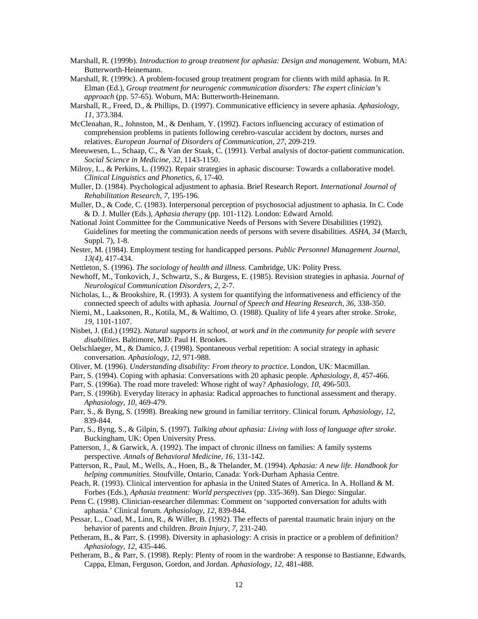- Marshall, R. (1999b). *Introduction to group treatment for aphasia: Design and management.* Woburn, MA: Butterworth-Heinemann.
- Marshall, R. (1999c). A problem-focused group treatment program for clients with mild aphasia. In R. Elman (Ed.), *Group treatment for neurogenic communication disorders: The expert clinician's approach* (pp. 57-65). Woburn, MA: Butterworth-Heinemann.
- Marshall, R., Freed, D., & Phillips, D. (1997). Communicative efficiency in severe aphasia. *Aphasiology, 11,* 373.384.
- McClenahan, R., Johnston, M., & Denham, Y. (1992). Factors influencing accuracy of estimation of comprehension problems in patients following cerebro-vascular accident by doctors, nurses and relatives. *European Journal of Disorders of Communication, 27*, 209-219.
- Meeuwesen, L., Schaap, C., & Van der Staak, C. (1991). Verbal analysis of doctor-patient communication. *Social Science in Medicine, 32*, 1143-1150.
- Milroy, L., & Perkins, L. (1992). Repair strategies in aphasic discourse: Towards a collaborative model. *Clinical Linguistics and Phonetics, 6,* 17-40.
- Muller, D. (1984). Psychological adjustment to aphasia. Brief Research Report. *International Journal of Rehabilitation Research, 7,* 195-196.
- Muller, D., & Code, C. (1983). Interpersonal perception of psychosocial adjustment to aphasia. In C. Code & D. J. Muller (Eds.), *Aphasia therapy* (pp. 101-112). London: Edward Arnold.
- National Joint Committee for the Communicative Needs of Persons with Severe Disabilities (1992). Guidelines for meeting the communication needs of persons with severe disabilities. *ASHA, 34* (March, Suppl. 7), 1-8.
- Nester, M. (1984). Employment testing for handicapped persons. *Public Personnel Management Journal, 13(4)*, 417-434.
- Nettleton, S. (1996). *The sociology of health and illness*. Cambridge, UK: Polity Press.
- Newhoff, M., Tonkovich, J., Schwartz, S., & Burgess, E. (1985). Revision strategies in aphasia. *Journal of Neurological Communication Disorders*, *2*, 2-7.
- Nicholas, L., & Brookshire, R. (1993). A system for quantifying the informativeness and efficiency of the connected speech of adults with aphasia*. Journal of Speech and Hearing Research, 36*, 338-350.
- Niemi, M., Laaksonen, R., Kotila, M., & Waltimo, O. (1988). Quality of life 4 years after stroke. *Stroke, 19*, 1101-1107.
- Nisbet, J. (Ed.) (1992). *Natural supports in school, at work and in the community for people with severe disabilities.* Baltimore, MD: Paul H. Brookes.
- Oelschlaeger, M., & Damico, J. (1998). Spontaneous verbal repetition: A social strategy in aphasic conversation*. Aphasiology, 12,* 971-988.
- Oliver, M. (1996). *Understanding disability: From theory to practice*. London, UK: Macmillan.
- Parr, S. (1994). Coping with aphasia: Conversations with 20 aphasic people. *Aphasiology, 8,* 457-466.
- Parr, S. (1996a). The road more traveled: Whose right of way? *Aphasiology, 10,* 496-503.
- Parr, S. (1996b). Everyday literacy in aphasia: Radical approaches to functional assessment and therapy. *Aphasiology, 10,* 469-479.
- Parr, S., & Byng, S. (1998). Breaking new ground in familiar territory. Clinical forum*. Aphasiology, 12,* 839-844.
- Parr, S., Byng, S., & Gilpin, S. (1997). *Talking about aphasia: Living with loss of language after stroke*. Buckingham, UK: Open University Press.
- Patterson, J., & Garwick, A. (1992). The impact of chronic illness on families: A family systems perspective*. Annals of Behavioral Medicine, 16,* 131-142.
- Patterson, R., Paul, M., Wells, A., Hoen, B., & Thelander, M. (1994). *Aphasia: A new life. Handbook for helping communities.* Stoufville, Ontario, Canada: York-Durham Aphasia Centre.
- Peach, R. (1993). Clinical intervention for aphasia in the United States of America. In A. Holland & M. Forbes (Eds.), *Aphasia treatment: World perspectives* (pp. 335-369). San Diego: Singular.
- Penn C. (1998). Clinician-researcher dilemmas: Comment on 'supported conversation for adults with aphasia.' Clinical forum. *Aphasiology, 12,* 839-844.
- Pessar, L., Coad, M., Linn, R., & Willer, B. (1992). The effects of parental traumatic brain injury on the behavior of parents and children. *Brain Injury, 7*, 231-240.
- Petheram, B., & Parr, S. (1998). Diversity in aphasiology: A crisis in practice or a problem of definition? *Aphasiology, 12,* 435-446.
- Petheram, B., & Parr, S. (1998). Reply: Plenty of room in the wardrobe: A response to Bastianne, Edwards, Cappa, Elman, Ferguson, Gordon, and Jordan. *Aphasiology, 12*, 481-488.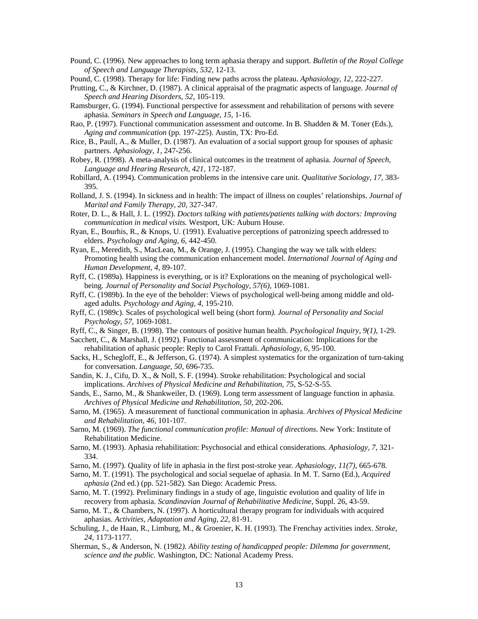- Pound, C. (1996). New approaches to long term aphasia therapy and support. *Bulletin of the Royal College of Speech and Language Therapists, 532,* 12-13.
- Pound, C. (1998). Therapy for life: Finding new paths across the plateau. *Aphasiology, 12*, 222-227.
- Prutting, C., & Kirchner, D. (1987). A clinical appraisal of the pragmatic aspects of language*. Journal of Speech and Hearing Disorders, 52*, 105-119.
- Ramsburger, G. (1994). Functional perspective for assessment and rehabilitation of persons with severe aphasia. *Seminars in Speech and Language, 15,* 1-16.
- Rao, P. (1997). Functional communication assessment and outcome. In B. Shadden & M. Toner (Eds.), *Aging and communication* (pp. 197-225). Austin, TX: Pro-Ed.
- Rice, B., Paull, A., & Muller, D. (1987). An evaluation of a social support group for spouses of aphasic partners. *Aphasiology, 1,* 247-256.
- Robey, R. (1998). A meta-analysis of clinical outcomes in the treatment of aphasia. *Journal of Speech, Language and Hearing Research, 421,* 172-187.
- Robillard, A. (1994). Communication problems in the intensive care unit. *Qualitative Sociology, 17,* 383- 395.
- Rolland, J. S. (1994). In sickness and in health: The impact of illness on couples' relationships. *Journal of Marital and Family Therapy, 20,* 327-347.
- Roter, D. L., & Hall, J. L. (1992). *Doctors talking with patients/patients talking with doctors: Improving communication in medical visits.* Westport, UK: Auburn House.
- Ryan, E., Bourhis, R., & Knops, U. (1991). Evaluative perceptions of patronizing speech addressed to elders. *Psychology and Aging, 6,* 442-450.
- Ryan, E., Meredith, S., MacLean, M., & Orange, J. (1995). Changing the way we talk with elders: Promoting health using the communication enhancement model. *International Journal of Aging and Human Development, 4*, 89-107.
- Ryff, C. (1989a). Happiness is everything, or is it? Explorations on the meaning of psychological wellbeing*. Journal of Personality and Social Psychology, 57(6),* 1069-1081.
- Ryff, C. (1989b). In the eye of the beholder: Views of psychological well-being among middle and oldaged adults*. Psychology and Aging, 4,* 195-210.
- Ryff, C. (1989c). Scales of psychological well being (short form*). Journal of Personality and Social Psychology, 57,* 1069-1081.
- Ryff, C., & Singer, B. (1998). The contours of positive human health. *Psychological Inquiry, 9(1),* 1-29.
- Sacchett, C., & Marshall, J. (1992). Functional assessment of communication: Implications for the rehabilitation of aphasic people: Reply to Carol Frattali. *Aphasiology, 6,* 95-100.
- Sacks, H., Schegloff, E., & Jefferson, G. (1974). A simplest systematics for the organization of turn-taking for conversation. *Language, 50,* 696-735.
- Sandin, K. J., Cifu, D. X., & Noll, S. F. (1994). Stroke rehabilitation: Psychological and social implications. *Archives of Physical Medicine and Rehabilitation, 75*, S-52-S-55.
- Sands, E., Sarno, M., & Shankweiler, D. (1969). Long term assessment of language function in aphasia. *Archives of Physical Medicine and Rehabilitation, 50*, 202-206.
- Sarno, M. (1965). A measurement of functional communication in aphasia. *Archives of Physical Medicine and Rehabilitation, 46,* 101-107.
- Sarno, M. (1969). *The functional communication profile: Manual of directions*. New York: Institute of Rehabilitation Medicine.
- Sarno, M. (1993). Aphasia rehabilitation: Psychosocial and ethical considerations*. Aphasiology, 7,* 321- 334.
- Sarno, M. (1997). Quality of life in aphasia in the first post-stroke year*. Aphasiology, 11(7),* 665-678.
- Sarno, M. T. (1991). The psychological and social sequelae of aphasia. In M. T. Sarno (Ed.), *Acquired aphasia* (2nd ed.) (pp. 521-582). San Diego: Academic Press.
- Sarno, M. T. (1992). Preliminary findings in a study of age, linguistic evolution and quality of life in recovery from aphasia. *Scandinavian Journal of Rehabilitative Medicine*, Suppl. 26, 43-59.
- Sarno, M. T., & Chambers, N. (1997). A horticultural therapy program for individuals with acquired aphasias. *Activities, Adaptation and Aging, 22*, 81-91.
- Schuling, J., de Haan, R., Limburg, M., & Groenier, K. H. (1993). The Frenchay activities index. *Stroke, 24,* 1173-1177.
- Sherman, S., & Anderson, N. (1982*). Ability testing of handicapped people: Dilemma for government, science and the public.* Washington, DC: National Academy Press.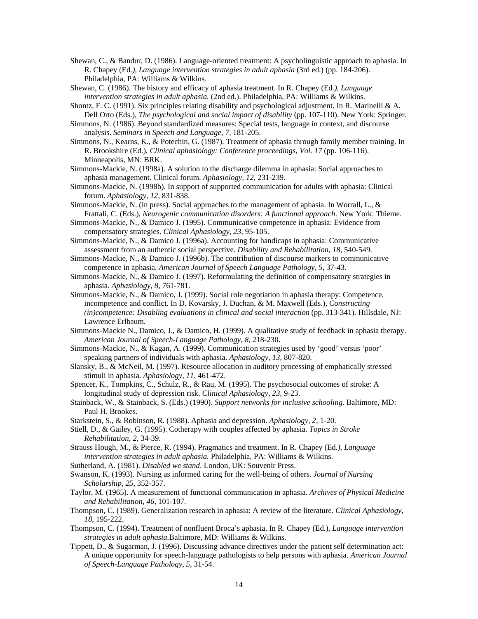Shewan, C., & Bandur, D. (1986). Language-oriented treatment: A psycholinguistic approach to aphasia. In R. Chapey (Ed*.), Language intervention strategies in adult aphasia* (3rd ed.) (pp. 184-206). Philadelphia, PA: Williams & Wilkins.

Shewan, C. (1986). The history and efficacy of aphasia treatment. In R. Chapey (Ed*.), Language intervention strategies in adult aphasia.* (2nd ed.). Philadelphia, PA: Williams & Wilkins.

- Shontz, F. C. (1991). Six principles relating disability and psychological adjustment. In R. Marinelli & A. Dell Orto (Eds.), *The psychological and social impact of disability* (pp. 107-110). New York: Springer.
- Simmons, N. (1986). Beyond standardized measures: Special tests, language in context, and discourse analysis. *Seminars in Speech and Language, 7,* 181-205.
- Simmons, N., Kearns, K., & Potechin, G. (1987). Treatment of aphasia through family member training. In R. Brookshire (Ed.), *Clinical aphasiology: Conference proceedings, Vol. 17* (pp. 106-116). Minneapolis, MN: BRK.
- Simmons-Mackie, N. (1998a). A solution to the discharge dilemma in aphasia: Social approaches to aphasia management. Clinical forum. *Aphasiology, 12,* 231-239.
- Simmons-Mackie, N. (1998b). In support of supported communication for adults with aphasia: Clinical forum. *Aphasiology, 12,* 831-838.
- Simmons-Mackie, N. (in press). Social approaches to the management of aphasia. In Worrall, L., & Frattali, C. (Eds.), *Neurogenic communication disorders: A functional approach*. New York: Thieme.
- Simmons-Mackie, N., & Damico J. (1995). Communicative competence in aphasia: Evidence from compensatory strategies. *Clinical Aphasiology, 23*, 95-105.
- Simmons-Mackie, N., & Damico J. (1996a). Accounting for handicaps in aphasia: Communicative assessment from an authentic social perspective. *Disability and Rehabilitation, 18*, 540-549.
- Simmons-Mackie, N., & Damico J. (1996b). The contribution of discourse markers to communicative competence in aphasia. *American Journal of Speech Language Pathology, 5,* 37-43.
- Simmons-Mackie, N., & Damico J. (1997). Reformulating the definition of compensatory strategies in aphasia. *Aphasiology, 8,* 761-781.
- Simmons-Mackie, N., & Damico, J. (1999). Social role negotiation in aphasia therapy: Competence, incompetence and conflict. In D. Kovarsky, J. Duchan, & M. Maxwell (Eds.), *Constructing (in)competence: Disabling evaluations in clinical and social interaction (pp. 313-341). Hillsdale, NJ:* Lawrence Erlbaum.
- Simmons-Mackie N., Damico, J., & Damico, H. (1999). A qualitative study of feedback in aphasia therapy. *American Journal of Speech-Language Pathology, 8,* 218-230.
- Simmons-Mackie, N., & Kagan, A. (1999). Communication strategies used by 'good' versus 'poor' speaking partners of individuals with aphasia. *Aphasiology, 13,* 807-820.
- Slansky, B., & McNeil, M. (1997). Resource allocation in auditory processing of emphatically stressed stimuli in aphasia. *Aphasiology, 11,* 461-472.
- Spencer, K., Tompkins, C., Schulz, R., & Rau, M. (1995). The psychosocial outcomes of stroke: A longitudinal study of depression risk. *Clinical Aphasiology, 23,* 9-23.
- Stainback, W., & Stainback, S. (Eds.) (1990). *Support networks for inclusive schooling*. Baltimore, MD: Paul H. Brookes.
- Starkstein, S., & Robinson, R. (1988). Aphasia and depression. *Aphasiology, 2,* 1-20.
- Stiell, D., & Gailey, G. (1995). Cotherapy with couples affected by aphasia. *Topics in Stroke Rehabilitation, 2,* 34-39.
- Strauss Hough, M., & Pierce, R. (1994). Pragmatics and treatment. In R. Chapey (Ed*.), Language intervention strategies in adult aphasia.* Philadelphia, PA: Williams & Wilkins.
- Sutherland, A. (1981). *Disabled we stand*. London, UK: Souvenir Press.
- Swanson, K. (1993). Nursing as informed caring for the well-being of others. *Journal of Nursing Scholarship, 25,* 352-357.
- Taylor, M. (1965). A measurement of functional communication in aphasia*. Archives of Physical Medicine and Rehabilitation, 46,* 101-107.
- Thompson, C. (1989). Generalization research in aphasia: A review of the literature. *Clinical Aphasiology, 18,* 195-222.
- Thompson, C. (1994). Treatment of nonfluent Broca's aphasia. In R. Chapey (Ed.), *Language intervention strategies in adult aphasia.*Baltimore, MD: Williams & Wilkins.
- Tippett, D., & Sugarman, J. (1996). Discussing advance directives under the patient self determination act: A unique opportunity for speech-language pathologists to help persons with aphasia. *American Journal of Speech-Language Pathology, 5,* 31-54.